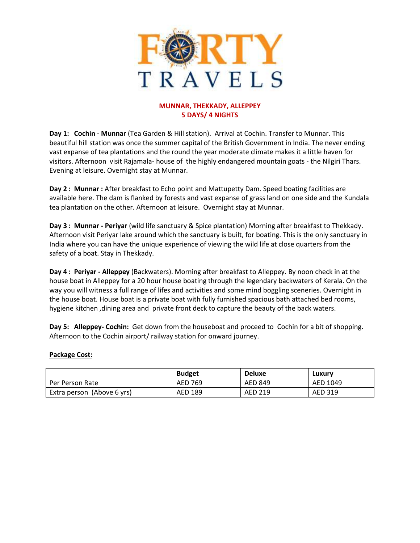

## **MUNNAR, THEKKADY, ALLEPPEY 5 DAYS/ 4 NIGHTS**

**Day 1: Cochin - Munnar** (Tea Garden & Hill station). Arrival at Cochin. Transfer to Munnar. This beautiful hill station was once the summer capital of the British Government in India. The never ending vast expanse of tea plantations and the round the year moderate climate makes it a little haven for visitors. Afternoon visit Rajamala- house of the highly endangered mountain goats - the Nilgiri Thars. Evening at leisure. Overnight stay at Munnar.

**Day 2 : Munnar :** After breakfast to Echo point and Mattupetty Dam. Speed boating facilities are available here. The dam is flanked by forests and vast expanse of grass land on one side and the Kundala tea plantation on the other. Afternoon at leisure. Overnight stay at Munnar.

**Day 3 : Munnar - Periyar** (wild life sanctuary & Spice plantation) Morning after breakfast to Thekkady. Afternoon visit Periyar lake around which the sanctuary is built, for boating. This is the only sanctuary in India where you can have the unique experience of viewing the wild life at close quarters from the safety of a boat. Stay in Thekkady.

**Day 4 : Periyar - Alleppey** (Backwaters). Morning after breakfast to Alleppey. By noon check in at the house boat in Alleppey for a 20 hour house boating through the legendary backwaters of Kerala. On the way you will witness a full range of lifes and activities and some mind boggling sceneries. Overnight in the house boat. House boat is a private boat with fully furnished spacious bath attached bed rooms, hygiene kitchen ,dining area and private front deck to capture the beauty of the back waters.

**Day 5: Alleppey- Cochin:** Get down from the houseboat and proceed to Cochin for a bit of shopping. Afternoon to the Cochin airport/ railway station for onward journey.

## **Package Cost:**

|                            | <b>Budget</b> | <b>Deluxe</b>  | Luxury   |
|----------------------------|---------------|----------------|----------|
| Per Person Rate            | AED 769       | <b>AED 849</b> | AED 1049 |
| Extra person (Above 6 yrs) | AED 189       | AED 219        | AED 319  |